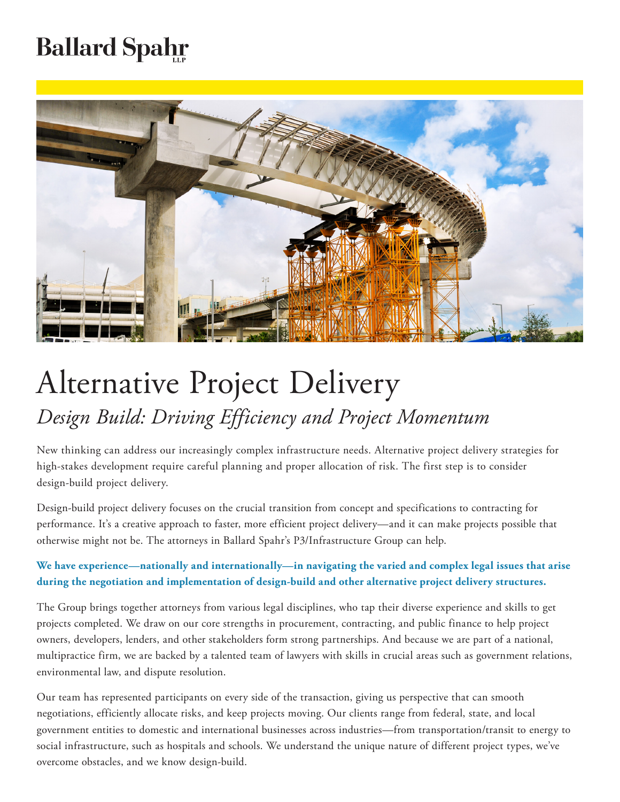## **Ballard Spahr**



## Alternative Project Delivery *Design Build: Driving Efficiency and Project Momentum*

New thinking can address our increasingly complex infrastructure needs. Alternative project delivery strategies for high-stakes development require careful planning and proper allocation of risk. The first step is to consider design-build project delivery.

Design-build project delivery focuses on the crucial transition from concept and specifications to contracting for performance. It's a creative approach to faster, more efficient project delivery—and it can make projects possible that otherwise might not be. The attorneys in Ballard Spahr's P3/Infrastructure Group can help.

**We have experience—nationally and internationally—in navigating the varied and complex legal issues that arise during the negotiation and implementation of design-build and other alternative project delivery structures.**

The Group brings together attorneys from various legal disciplines, who tap their diverse experience and skills to get projects completed. We draw on our core strengths in procurement, contracting, and public finance to help project owners, developers, lenders, and other stakeholders form strong partnerships. And because we are part of a national, multipractice firm, we are backed by a talented team of lawyers with skills in crucial areas such as government relations, environmental law, and dispute resolution.

Our team has represented participants on every side of the transaction, giving us perspective that can smooth negotiations, efficiently allocate risks, and keep projects moving. Our clients range from federal, state, and local government entities to domestic and international businesses across industries—from transportation/transit to energy to social infrastructure, such as hospitals and schools. We understand the unique nature of different project types, we've overcome obstacles, and we know design-build.